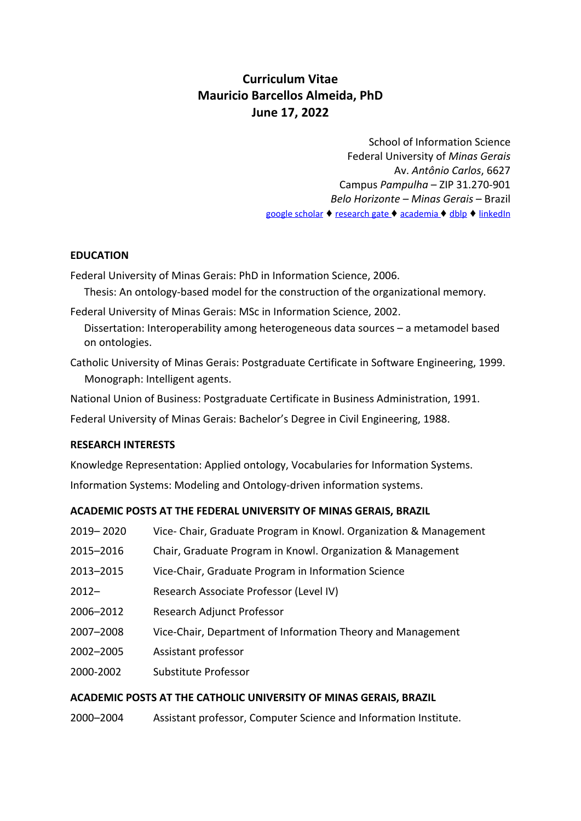# **Curriculum Vitae Mauricio Barcellos Almeida, PhD June 17, 2022**

School of Information Science Federal University of *Minas Gerais* Av. *Antônio Carlos*, 6627 Campus *Pampulha* – ZIP 31.270-901 *Belo Horizonte – Minas Gerais* – Brazil google [scholar](https://scholar.google.com/citations?hl=en&user=kxOnyQwAAAAJ&view_op=list_works&sortby=pubdate&gmla=AJsN-F4Fh6JjX3MPxbh2HR3_ReFGfwd3kZ_qtlfzmspX7033Ec9FFQIgTjF3dqlk8bwD_WutVsWG8SGuATcYS2OWlEHABp4pmcVQ68P3pDAQPOudX2N_FhY&sciund=9173931142295304728&gmla=AJ) ♦ [research](https://www.researchgate.net/profile/Mauricio_Almeida) gate ♦ [academia](http://agachamento.academia.edu/MauricioAlmeida) ♦ [dblp](http://dblp2.uni-trier.de/pers/hd/a/Almeida:Mauricio_Barcellos) ♦ [linkedIn](https://www.linkedin.com/in/mba-medinform/)

## **EDUCATION**

Federal University of Minas Gerais: PhD in Information Science, 2006.

Thesis: An ontology-based model for the construction of the organizational memory.

Federal University of Minas Gerais: MSc in Information Science, 2002. Dissertation: Interoperability among heterogeneous data sources – a metamodel based

on ontologies.

Catholic University of Minas Gerais: Postgraduate Certificate in Software Engineering, 1999. Monograph: Intelligent agents.

National Union of Business: Postgraduate Certificate in Business Administration, 1991.

Federal University of Minas Gerais: Bachelor's Degree in Civil Engineering, 1988.

# **RESEARCH INTERESTS**

Knowledge Representation: Applied ontology, Vocabularies for Information Systems. Information Systems: Modeling and Ontology-driven information systems.

# **ACADEMIC POSTS AT THE FEDERAL UNIVERSITY OF MINAS GERAIS, BRAZIL**

| 2019-2020 | Vice-Chair, Graduate Program in Knowl. Organization & Management |
|-----------|------------------------------------------------------------------|
| 2015-2016 | Chair, Graduate Program in Knowl. Organization & Management      |
| 2013-2015 | Vice-Chair, Graduate Program in Information Science              |
| $2012 -$  | Research Associate Professor (Level IV)                          |
| 2006-2012 | Research Adjunct Professor                                       |
| 2007-2008 | Vice-Chair, Department of Information Theory and Management      |
| 2002-2005 | Assistant professor                                              |
| 2000-2002 | Substitute Professor                                             |
|           |                                                                  |

# **ACADEMIC POSTS AT THE CATHOLIC UNIVERSITY OF MINAS GERAIS, BRAZIL**

2000–2004 Assistant professor, Computer Science and Information Institute.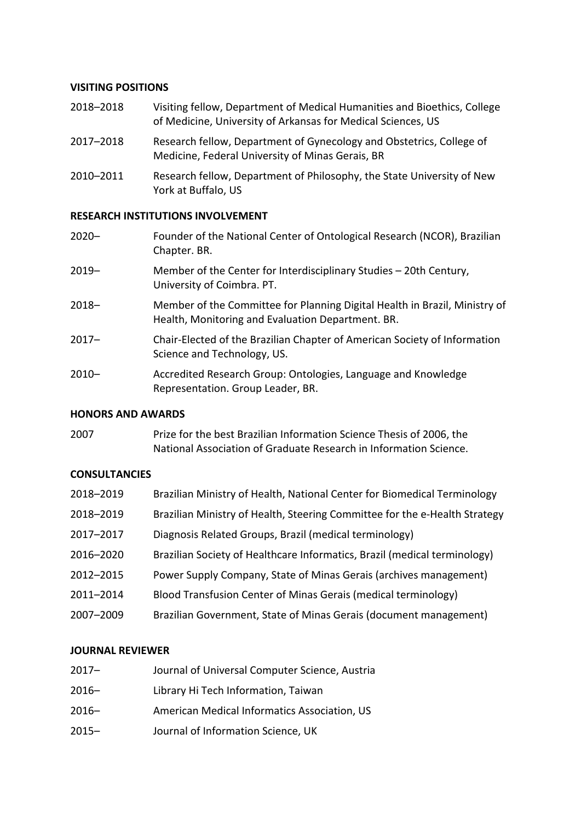### **VISITING POSITIONS**

- 2018–2018 Visiting fellow, Department of Medical Humanities and Bioethics, College of Medicine, University of Arkansas for Medical Sciences, US
- 2017–2018 Research fellow, Department of Gynecology and Obstetrics, College of Medicine, Federal University of Minas Gerais, BR
- 2010–2011 Research fellow, Department of Philosophy, the State University of New York at Buffalo, US

### **RESEARCH INSTITUTIONS INVOLVEMENT**

| $2020 -$ | Founder of the National Center of Ontological Research (NCOR), Brazilian<br>Chapter. BR.                                        |
|----------|---------------------------------------------------------------------------------------------------------------------------------|
| $2019 -$ | Member of the Center for Interdisciplinary Studies – 20th Century,<br>University of Coimbra. PT.                                |
| $2018 -$ | Member of the Committee for Planning Digital Health in Brazil, Ministry of<br>Health, Monitoring and Evaluation Department. BR. |
| $2017 -$ | Chair-Elected of the Brazilian Chapter of American Society of Information<br>Science and Technology, US.                        |
| $2010 -$ | Accredited Research Group: Ontologies, Language and Knowledge<br>Representation. Group Leader, BR.                              |

### **HONORS AND AWARDS**

2007 Prize for the best Brazilian Information Science Thesis of 2006, the National Association of Graduate Research in Information Science.

### **CONSULTANCIES**

| 2018-2019 | Brazilian Ministry of Health, National Center for Biomedical Terminology   |
|-----------|----------------------------------------------------------------------------|
| 2018-2019 | Brazilian Ministry of Health, Steering Committee for the e-Health Strategy |
| 2017-2017 | Diagnosis Related Groups, Brazil (medical terminology)                     |
| 2016-2020 | Brazilian Society of Healthcare Informatics, Brazil (medical terminology)  |
| 2012-2015 | Power Supply Company, State of Minas Gerais (archives management)          |
| 2011-2014 | Blood Transfusion Center of Minas Gerais (medical terminology)             |
| 2007-2009 | Brazilian Government, State of Minas Gerais (document management)          |

### **JOURNAL REVIEWER**

- 2017– Journal of Universal Computer Science, Austria
- 2016– Library Hi Tech Information, Taiwan
- 2016– American Medical Informatics Association, US
- 2015– Journal of Information Science, UK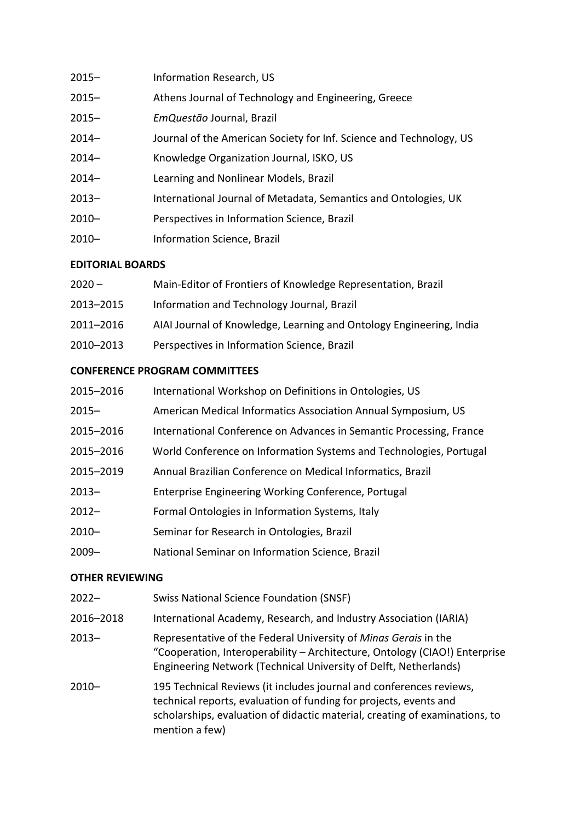| $2015 -$ | Information Research, US                                            |
|----------|---------------------------------------------------------------------|
| $2015 -$ | Athens Journal of Technology and Engineering, Greece                |
| $2015 -$ | EmQuestão Journal, Brazil                                           |
| $2014 -$ | Journal of the American Society for Inf. Science and Technology, US |
| $2014-$  | Knowledge Organization Journal, ISKO, US                            |
| $2014 -$ | Learning and Nonlinear Models, Brazil                               |
| $2013 -$ | International Journal of Metadata, Semantics and Ontologies, UK     |
| $2010 -$ | Perspectives in Information Science, Brazil                         |
| $2010 -$ | Information Science, Brazil                                         |
|          |                                                                     |

# **EDITORIAL BOARDS**

| $2020 -$  | Main-Editor of Frontiers of Knowledge Representation, Brazil        |
|-----------|---------------------------------------------------------------------|
| 2013-2015 | Information and Technology Journal, Brazil                          |
| 2011-2016 | AIAI Journal of Knowledge, Learning and Ontology Engineering, India |
| 2010-2013 | Perspectives in Information Science, Brazil                         |

# **CONFERENCE PROGRAM COMMITTEES**

| 2015-2016 | International Workshop on Definitions in Ontologies, US             |
|-----------|---------------------------------------------------------------------|
| $2015 -$  | American Medical Informatics Association Annual Symposium, US       |
| 2015-2016 | International Conference on Advances in Semantic Processing, France |
| 2015-2016 | World Conference on Information Systems and Technologies, Portugal  |
| 2015-2019 | Annual Brazilian Conference on Medical Informatics, Brazil          |
| $2013 -$  | Enterprise Engineering Working Conference, Portugal                 |
| $2012 -$  | Formal Ontologies in Information Systems, Italy                     |
| $2010 -$  | Seminar for Research in Ontologies, Brazil                          |
| $2009 -$  | National Seminar on Information Science, Brazil                     |

# **OTHER REVIEWING**

| $2022 -$  | <b>Swiss National Science Foundation (SNSF)</b>                                                                                                                                                                                           |
|-----------|-------------------------------------------------------------------------------------------------------------------------------------------------------------------------------------------------------------------------------------------|
| 2016-2018 | International Academy, Research, and Industry Association (IARIA)                                                                                                                                                                         |
| $2013 -$  | Representative of the Federal University of Minas Gerais in the<br>"Cooperation, Interoperability - Architecture, Ontology (CIAO!) Enterprise<br>Engineering Network (Technical University of Delft, Netherlands)                         |
| $2010 -$  | 195 Technical Reviews (it includes journal and conferences reviews,<br>technical reports, evaluation of funding for projects, events and<br>scholarships, evaluation of didactic material, creating of examinations, to<br>mention a few) |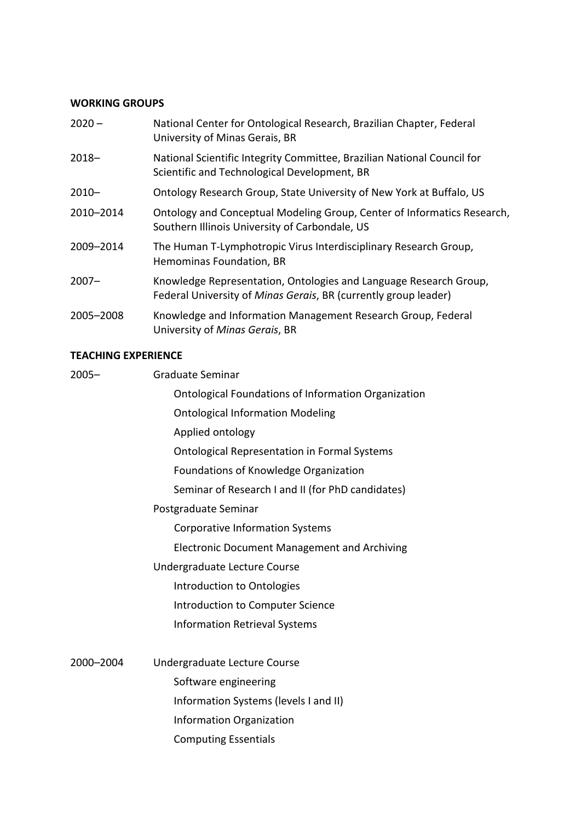# **WORKING GROUPS**

| $2020 -$  | National Center for Ontological Research, Brazilian Chapter, Federal<br>University of Minas Gerais, BR                               |
|-----------|--------------------------------------------------------------------------------------------------------------------------------------|
| $2018 -$  | National Scientific Integrity Committee, Brazilian National Council for<br>Scientific and Technological Development, BR              |
| $2010 -$  | Ontology Research Group, State University of New York at Buffalo, US                                                                 |
| 2010-2014 | Ontology and Conceptual Modeling Group, Center of Informatics Research,<br>Southern Illinois University of Carbondale, US            |
| 2009-2014 | The Human T-Lymphotropic Virus Interdisciplinary Research Group,<br>Hemominas Foundation, BR                                         |
| $2007 -$  | Knowledge Representation, Ontologies and Language Research Group,<br>Federal University of Minas Gerais, BR (currently group leader) |
| 2005-2008 | Knowledge and Information Management Research Group, Federal<br>University of Minas Gerais, BR                                       |
|           |                                                                                                                                      |

### **TEACHING EXPERIENCE**

| $2005 -$  | Graduate Seminar                                           |
|-----------|------------------------------------------------------------|
|           | <b>Ontological Foundations of Information Organization</b> |
|           | <b>Ontological Information Modeling</b>                    |
|           | Applied ontology                                           |
|           | <b>Ontological Representation in Formal Systems</b>        |
|           | Foundations of Knowledge Organization                      |
|           | Seminar of Research I and II (for PhD candidates)          |
|           | Postgraduate Seminar                                       |
|           | <b>Corporative Information Systems</b>                     |
|           | <b>Electronic Document Management and Archiving</b>        |
|           | Undergraduate Lecture Course                               |
|           | Introduction to Ontologies                                 |
|           | Introduction to Computer Science                           |
|           | <b>Information Retrieval Systems</b>                       |
| 2000-2004 | Undergraduate Lecture Course                               |
|           | Software engineering                                       |
|           | Information Systems (levels I and II)                      |
|           | Information Organization                                   |
|           | <b>Computing Essentials</b>                                |
|           |                                                            |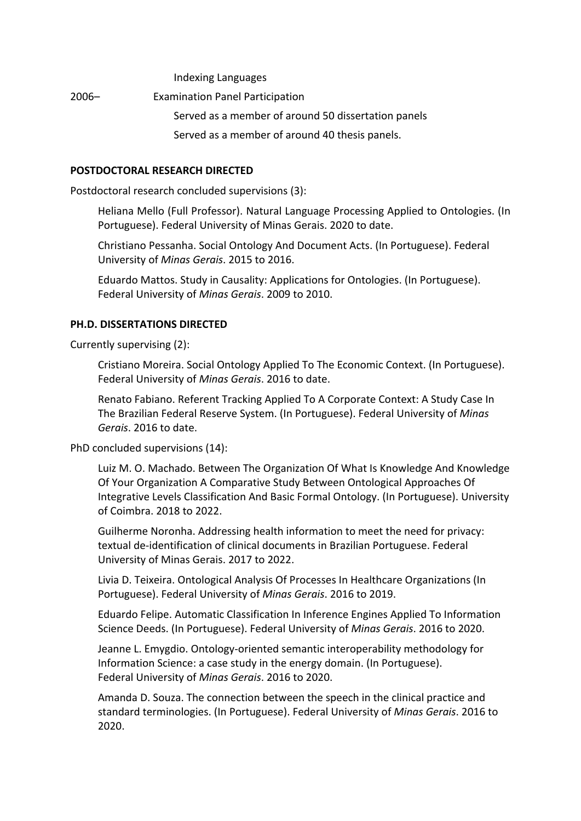Indexing Languages

2006– Examination Panel Participation Served as a member of around 50 dissertation panels Served as a member of around 40 thesis panels.

### **POSTDOCTORAL RESEARCH DIRECTED**

Postdoctoral research concluded supervisions (3):

Heliana Mello (Full Professor). Natural Language Processing Applied to Ontologies. (In Portuguese). Federal University of Minas Gerais. 2020 to date.

Christiano Pessanha. Social Ontology And Document Acts. (In Portuguese). Federal University of *Minas Gerais*. 2015 to 2016.

Eduardo Mattos. Study in Causality: Applications for Ontologies. (In Portuguese). Federal University of *Minas Gerais*. 2009 to 2010.

#### **PH.D. DISSERTATIONS DIRECTED**

Currently supervising (2):

Cristiano Moreira. Social Ontology Applied To The Economic Context. (In Portuguese). Federal University of *Minas Gerais*. 2016 to date.

Renato Fabiano. Referent Tracking Applied To A Corporate Context: A Study Case In The Brazilian Federal Reserve System. (In Portuguese). Federal University of *Minas Gerais*. 2016 to date.

PhD concluded supervisions (14):

Luiz M. O. Machado. Between The Organization Of What Is Knowledge And Knowledge Of Your Organization A Comparative Study Between Ontological Approaches Of Integrative Levels Classification And Basic Formal Ontology. (In Portuguese). University of Coimbra. 2018 to 2022.

Guilherme Noronha. Addressing health information to meet the need for privacy: textual de-identification of clinical documents in Brazilian Portuguese. Federal University of Minas Gerais. 2017 to 2022.

Livia D. Teixeira. Ontological Analysis Of Processes In Healthcare Organizations (In Portuguese). Federal University of *Minas Gerais*. 2016 to 2019.

Eduardo Felipe. Automatic Classification In Inference Engines Applied To Information Science Deeds. (In Portuguese). Federal University of *Minas Gerais*. 2016 to 2020.

Jeanne L. Emygdio. Ontology-oriented semantic interoperability methodology for Information Science: a case study in the energy domain. (In Portuguese). Federal University of *Minas Gerais*. 2016 to 2020.

Amanda D. Souza. The connection between the speech in the clinical practice and standard terminologies. (In Portuguese). Federal University of *Minas Gerais*. 2016 to 2020.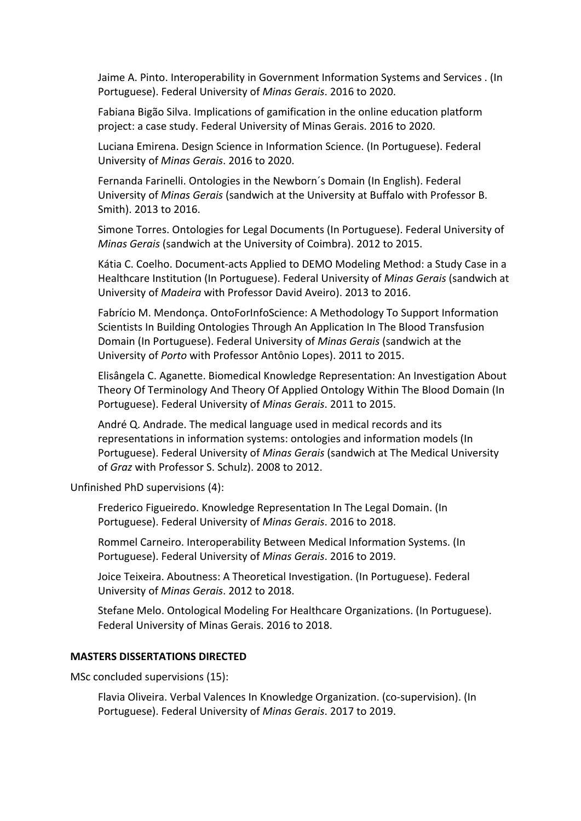Jaime A. Pinto. Interoperability in Government Information Systems and Services . (In Portuguese). Federal University of *Minas Gerais*. 2016 to 2020.

Fabiana Bigão Silva. Implications of gamification in the online education platform project: a case study. Federal University of Minas Gerais. 2016 to 2020.

Luciana Emirena. Design Science in Information Science. (In Portuguese). Federal University of *Minas Gerais*. 2016 to 2020.

Fernanda Farinelli. Ontologies in the Newborn´s Domain (In English). Federal University of *Minas Gerais* (sandwich at the University at Buffalo with Professor B. Smith). 2013 to 2016.

Simone Torres. Ontologies for Legal Documents (In Portuguese). Federal University of *Minas Gerais* (sandwich at the University of Coimbra). 2012 to 2015.

Kátia C. Coelho. Document-acts Applied to DEMO Modeling Method: a Study Case in a Healthcare Institution (In Portuguese). Federal University of *Minas Gerais* (sandwich at University of *Madeira* with Professor David Aveiro). 2013 to 2016.

Fabrício M. Mendonça. OntoForInfoScience: A Methodology To Support Information Scientists In Building Ontologies Through An Application In The Blood Transfusion Domain (In Portuguese). Federal University of *Minas Gerais* (sandwich at the University of *Porto* with Professor Antônio Lopes). 2011 to 2015.

Elisângela C. Aganette. Biomedical Knowledge Representation: An Investigation About Theory Of Terminology And Theory Of Applied Ontology Within The Blood Domain (In Portuguese). Federal University of *Minas Gerais*. 2011 to 2015.

André Q. Andrade. The medical language used in medical records and its representations in information systems: ontologies and information models (In Portuguese). Federal University of *Minas Gerais* (sandwich at The Medical University of *Graz* with Professor S. Schulz). 2008 to 2012.

Unfinished PhD supervisions (4):

Frederico Figueiredo. Knowledge Representation In The Legal Domain. (In Portuguese). Federal University of *Minas Gerais*. 2016 to 2018.

Rommel Carneiro. Interoperability Between Medical Information Systems. (In Portuguese). Federal University of *Minas Gerais*. 2016 to 2019.

Joice Teixeira. Aboutness: A Theoretical Investigation. (In Portuguese). Federal University of *Minas Gerais*. 2012 to 2018.

Stefane Melo. Ontological Modeling For Healthcare Organizations. (In Portuguese). Federal University of Minas Gerais. 2016 to 2018.

#### **MASTERS DISSERTATIONS DIRECTED**

MSc concluded supervisions (15):

Flavia Oliveira. Verbal Valences In Knowledge Organization. (co-supervision). (In Portuguese). Federal University of *Minas Gerais*. 2017 to 2019.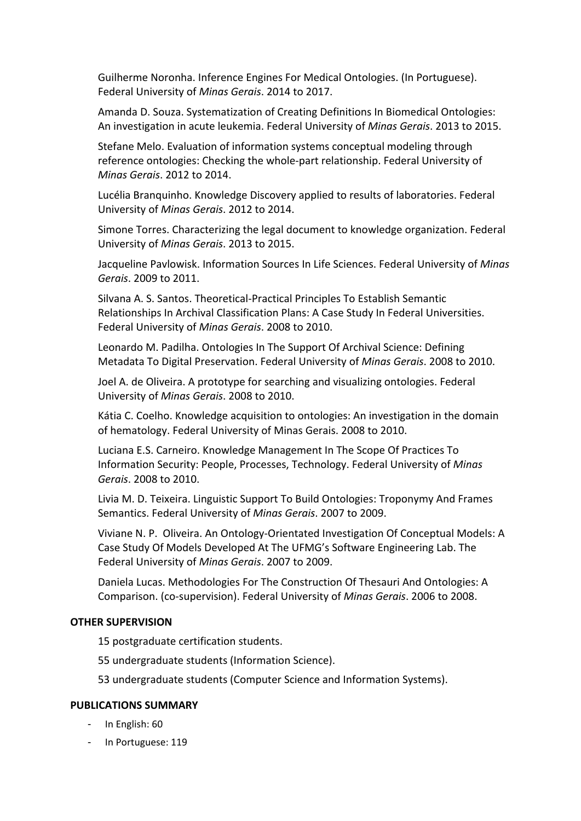Guilherme Noronha. Inference Engines For Medical Ontologies. (In Portuguese). Federal University of *Minas Gerais*. 2014 to 2017.

Amanda D. Souza. Systematization of Creating Definitions In Biomedical Ontologies: An investigation in acute leukemia. Federal University of *Minas Gerais*. 2013 to 2015.

Stefane Melo. Evaluation of information systems conceptual modeling through reference ontologies: Checking the whole-part relationship. Federal University of *Minas Gerais*. 2012 to 2014.

Lucélia Branquinho. Knowledge Discovery applied to results of laboratories. Federal University of *Minas Gerais*. 2012 to 2014.

Simone Torres. Characterizing the legal document to knowledge organization. Federal University of *Minas Gerais*. 2013 to 2015.

Jacqueline Pavlowisk. Information Sources In Life Sciences. Federal University of *Minas Gerais*. 2009 to 2011.

Silvana A. S. Santos. Theoretical-Practical Principles To Establish Semantic Relationships In Archival Classification Plans: A Case Study In Federal Universities. Federal University of *Minas Gerais*. 2008 to 2010.

Leonardo M. Padilha. Ontologies In The Support Of Archival Science: Defining Metadata To Digital Preservation. Federal University of *Minas Gerais*. 2008 to 2010.

Joel A. de Oliveira. A prototype for searching and visualizing ontologies. Federal University of *Minas Gerais*. 2008 to 2010.

Kátia C. Coelho. Knowledge acquisition to ontologies: An investigation in the domain of hematology. Federal University of Minas Gerais. 2008 to 2010.

Luciana E.S. Carneiro. Knowledge Management In The Scope Of Practices To Information Security: People, Processes, Technology. Federal University of *Minas Gerais*. 2008 to 2010.

Livia M. D. Teixeira. Linguistic Support To Build Ontologies: Troponymy And Frames Semantics. Federal University of *Minas Gerais*. 2007 to 2009.

Viviane N. P. Oliveira. An Ontology-Orientated Investigation Of Conceptual Models: A Case Study Of Models Developed At The UFMG's Software Engineering Lab. The Federal University of *Minas Gerais*. 2007 to 2009.

Daniela Lucas. Methodologies For The Construction Of Thesauri And Ontologies: A Comparison. (co-supervision). Federal University of *Minas Gerais*. 2006 to 2008.

#### **OTHER SUPERVISION**

15 postgraduate certification students.

55 undergraduate students (Information Science).

53 undergraduate students (Computer Science and Information Systems).

#### **PUBLICATIONS SUMMARY**

- In English: 60
- In Portuguese: 119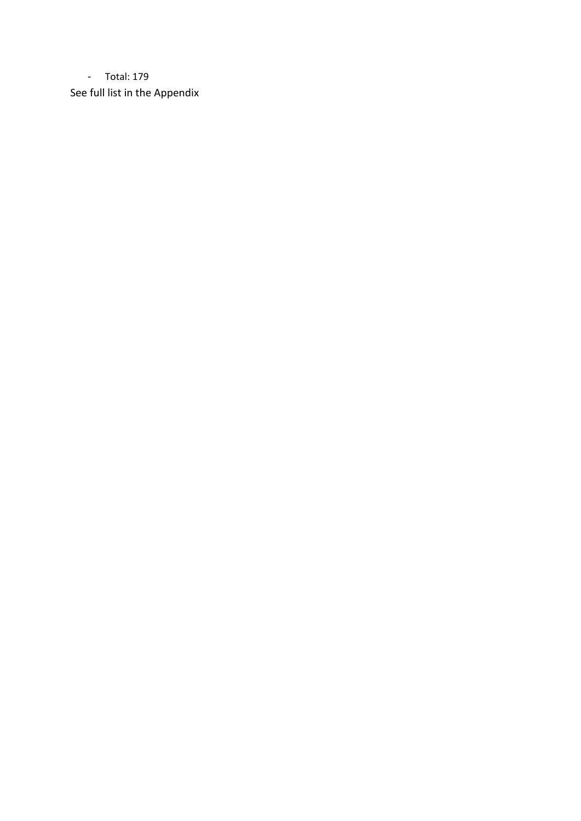- Total: 179 See full list in the Appendix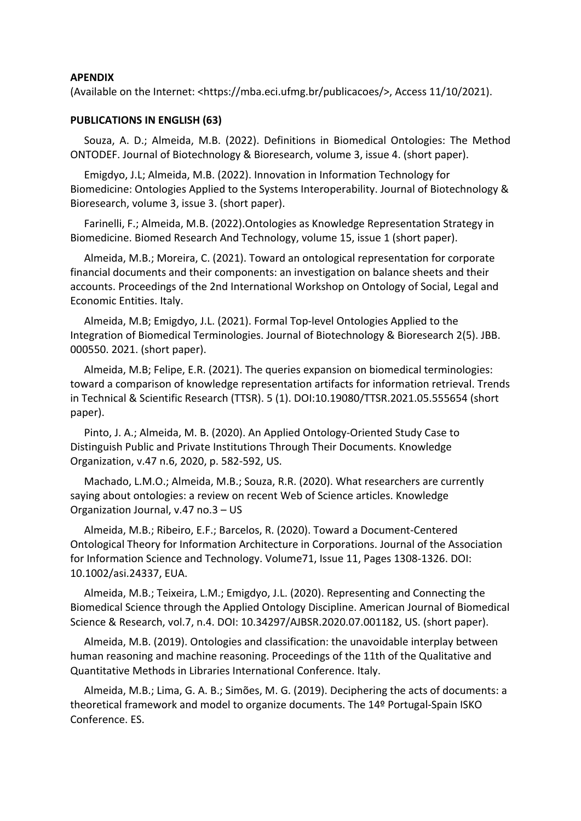#### **APENDIX**

(Available on the Internet: <https://mba.eci.ufmg.br/publicacoes/>, Access 11/10/2021).

#### **PUBLICATIONS IN ENGLISH (63)**

Souza, A. D.; Almeida, M.B. (2022). Definitions in Biomedical Ontologies: The Method ONTODEF. Journal of Biotechnology & Bioresearch, volume 3, issue 4. (short paper).

Emigdyo, J.L; Almeida, M.B. (2022). Innovation in Information Technology for Biomedicine: Ontologies Applied to the Systems Interoperability. Journal of Biotechnology & Bioresearch, volume 3, issue 3. (short paper).

Farinelli, F.; Almeida, M.B. (2022).Ontologies as Knowledge Representation Strategy in Biomedicine. Biomed Research And Technology, volume 15, issue 1 (short paper).

Almeida, M.B.; Moreira, C. (2021). Toward an ontological representation for corporate financial documents and their components: an investigation on balance sheets and their accounts. Proceedings of the 2nd International Workshop on Ontology of Social, Legal and Economic Entities. Italy.

Almeida, M.B; Emigdyo, J.L. (2021). Formal Top-level Ontologies Applied to the Integration of Biomedical Terminologies. Journal of Biotechnology & Bioresearch 2(5). JBB. 000550. 2021. (short paper).

Almeida, M.B; Felipe, E.R. (2021). The queries expansion on biomedical terminologies: toward a comparison of knowledge representation artifacts for information retrieval. Trends in Technical & Scientific Research (TTSR). 5 (1). DOI:10.19080/TTSR.2021.05.555654 (short paper).

Pinto, J. A.; Almeida, M. B. (2020). An Applied Ontology-Oriented Study Case to Distinguish Public and Private Institutions Through Their Documents. Knowledge Organization, v.47 n.6, 2020, p. 582-592, US.

Machado, L.M.O.; Almeida, M.B.; Souza, R.R. (2020). What researchers are currently saying about ontologies: a review on recent Web of Science articles. Knowledge Organization Journal, v.47 no.3 – US

Almeida, M.B.; Ribeiro, E.F.; Barcelos, R. (2020). Toward a Document-Centered Ontological Theory for Information Architecture in Corporations. Journal of the Association for Information Science and Technology. Volume71, Issue 11, Pages 1308-1326. DOI: 10.1002/asi.24337, EUA.

Almeida, M.B.; Teixeira, L.M.; Emigdyo, J.L. (2020). Representing and Connecting the Biomedical Science through the Applied Ontology Discipline. American Journal of Biomedical Science & Research, vol.7, n.4. DOI: 10.34297/AJBSR.2020.07.001182, US. (short paper).

Almeida, M.B. (2019). Ontologies and classification: the unavoidable interplay between human reasoning and machine reasoning. Proceedings of the 11th of the Qualitative and Quantitative Methods in Libraries International Conference. Italy.

Almeida, M.B.; Lima, G. A. B.; Simões, M. G. (2019). Deciphering the acts of documents: a theoretical framework and model to organize documents. The 14º Portugal-Spain ISKO Conference. ES.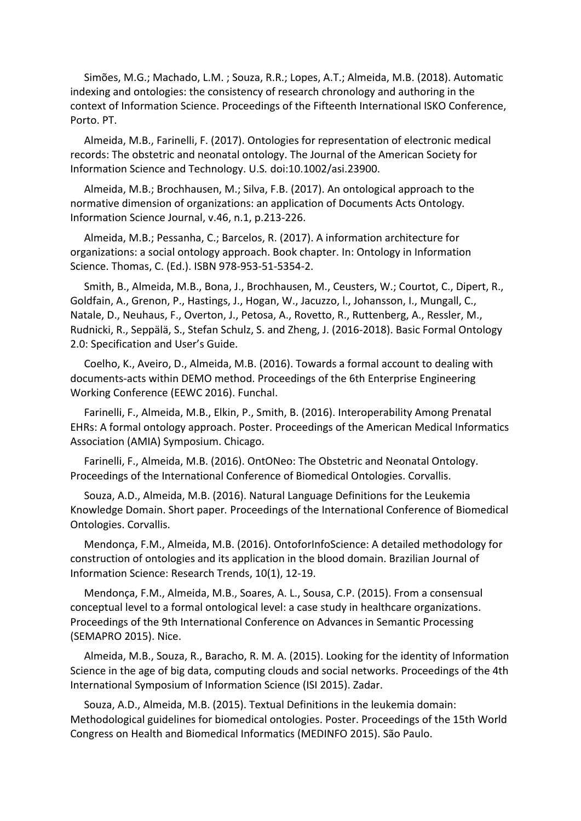Simões, M.G.; Machado, L.M. ; Souza, R.R.; Lopes, A.T.; Almeida, M.B. (2018). Automatic indexing and ontologies: the consistency of research chronology and authoring in the context of Information Science. Proceedings of the Fifteenth International ISKO Conference, Porto. PT.

Almeida, M.B., Farinelli, F. (2017). Ontologies for representation of electronic medical records: The obstetric and neonatal ontology. The Journal of the American Society for Information Science and Technology. U.S*.* doi:10.1002/asi.23900.

Almeida, M.B.; Brochhausen, M.; Silva, F.B. (2017). An ontological approach to the normative dimension of organizations: an application of Documents Acts Ontology*.* Information Science Journal, v.46, n.1, p.213-226.

Almeida, M.B.; Pessanha, C.; Barcelos, R. (2017). A information architecture for organizations: a social ontology approach. Book chapter. In: Ontology in Information Science. Thomas, C. (Ed.). ISBN 978-953-51-5354-2.

Smith, B., Almeida, M.B., Bona, J., Brochhausen, M., Ceusters, W.; Courtot, C., Dipert, R., Goldfain, A., Grenon, P., Hastings, J., Hogan, W., Jacuzzo, l., Johansson, I., Mungall, C., Natale, D., Neuhaus, F., Overton, J., Petosa, A., Rovetto, R., Ruttenberg, A., Ressler, M., Rudnicki, R., Seppälä, S., Stefan Schulz, S. and Zheng, J. (2016-2018). Basic Formal Ontology 2.0: Specification and User's Guide.

Coelho, K., Aveiro, D., Almeida, M.B. (2016). Towards a formal account to dealing with documents-acts within DEMO method. Proceedings of the 6th Enterprise Engineering Working Conference (EEWC 2016). Funchal.

Farinelli, F., Almeida, M.B., Elkin, P., Smith, B. (2016). Interoperability Among Prenatal EHRs: A formal ontology approach. Poster. Proceedings of the American Medical Informatics Association (AMIA) Symposium. Chicago.

Farinelli, F., Almeida, M.B. (2016). OntONeo: The Obstetric and Neonatal Ontology. Proceedings of the International Conference of Biomedical Ontologies. Corvallis.

Souza, A.D., Almeida, M.B. (2016). Natural Language Definitions for the Leukemia Knowledge Domain. Short paper*.* Proceedings of the International Conference of Biomedical Ontologies. Corvallis.

Mendonça, F.M., Almeida, M.B. (2016). OntoforInfoScience: A detailed methodology for construction of ontologies and its application in the blood domain. Brazilian Journal of Information Science: Research Trends, 10(1), 12-19.

Mendonça, F.M., Almeida, M.B., Soares, A. L., Sousa, C.P. (2015). From a consensual conceptual level to a formal ontological level: a case study in healthcare organizations. Proceedings of the 9th International Conference on Advances in Semantic Processing (SEMAPRO 2015). Nice.

Almeida, M.B., Souza, R., Baracho, R. M. A. (2015). Looking for the identity of Information Science in the age of big data, computing clouds and social networks. Proceedings of the 4th International Symposium of Information Science (ISI 2015). Zadar.

Souza, A.D., Almeida, M.B. (2015). Textual Definitions in the leukemia domain: Methodological guidelines for biomedical ontologies. Poster. Proceedings of the 15th World Congress on Health and Biomedical Informatics (MEDINFO 2015). São Paulo.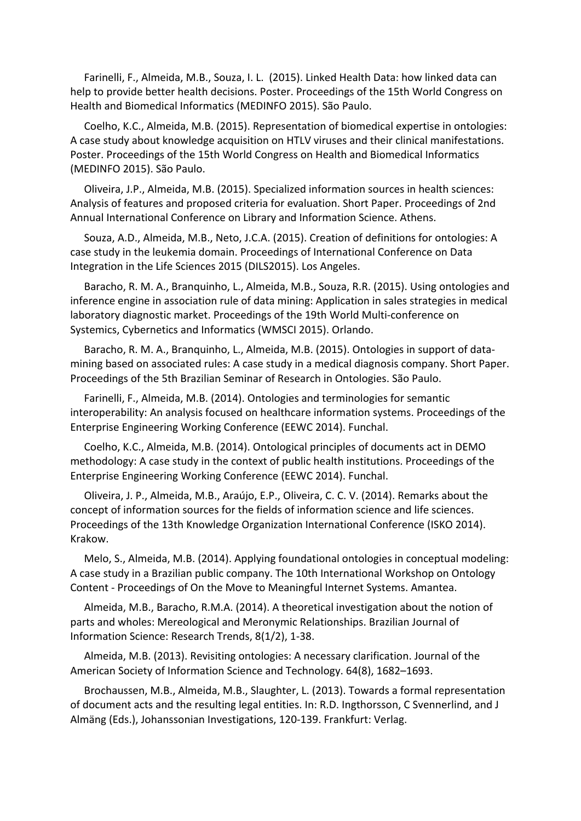Farinelli, F., Almeida, M.B., Souza, I. L. (2015). Linked Health Data: how linked data can help to provide better health decisions. Poster. Proceedings of the 15th World Congress on Health and Biomedical Informatics (MEDINFO 2015). São Paulo.

Coelho, K.C., Almeida, M.B. (2015). Representation of biomedical expertise in ontologies: A case study about knowledge acquisition on HTLV viruses and their clinical manifestations. Poster. Proceedings of the 15th World Congress on Health and Biomedical Informatics (MEDINFO 2015). São Paulo.

Oliveira, J.P., Almeida, M.B. (2015). Specialized information sources in health sciences: Analysis of features and proposed criteria for evaluation. Short Paper. Proceedings of 2nd Annual International Conference on Library and Information Science. Athens.

Souza, A.D., Almeida, M.B., Neto, J.C.A. (2015). Creation of definitions for ontologies: A case study in the leukemia domain. Proceedings of International Conference on Data Integration in the Life Sciences 2015 (DILS2015). Los Angeles.

Baracho, R. M. A., Branquinho, L., Almeida, M.B., Souza, R.R. (2015). Using ontologies and inference engine in association rule of data mining: Application in sales strategies in medical laboratory diagnostic market. Proceedings of the 19th World Multi-conference on Systemics, Cybernetics and Informatics (WMSCI 2015). Orlando.

Baracho, R. M. A., Branquinho, L., Almeida, M.B. (2015). Ontologies in support of datamining based on associated rules: A case study in a medical diagnosis company. Short Paper. Proceedings of the 5th Brazilian Seminar of Research in Ontologies. São Paulo.

Farinelli, F., Almeida, M.B. (2014). Ontologies and terminologies for semantic interoperability: An analysis focused on healthcare information systems. Proceedings of the Enterprise Engineering Working Conference (EEWC 2014). Funchal.

Coelho, K.C., Almeida, M.B. (2014). Ontological principles of documents act in DEMO methodology: A case study in the context of public health institutions. Proceedings of the Enterprise Engineering Working Conference (EEWC 2014). Funchal.

Oliveira, J. P., Almeida, M.B., Araújo, E.P., Oliveira, C. C. V. (2014). Remarks about the concept of information sources for the fields of information science and life sciences. Proceedings of the 13th Knowledge Organization International Conference (ISKO 2014). Krakow.

Melo, S., Almeida, M.B. (2014). Applying foundational ontologies in conceptual modeling: A case study in a Brazilian public company. The 10th International Workshop on Ontology Content - Proceedings of On the Move to Meaningful Internet Systems. Amantea.

Almeida, M.B., Baracho, R.M.A. (2014). A theoretical investigation about the notion of parts and wholes: Mereological and Meronymic Relationships. Brazilian Journal of Information Science: Research Trends, 8(1/2), 1-38.

Almeida, M.B. (2013). Revisiting ontologies: A necessary clarification. Journal of the American Society of Information Science and Technology. 64(8), 1682–1693.

Brochaussen, M.B., Almeida, M.B., Slaughter, L. (2013). Towards a formal representation of document acts and the resulting legal entities. In: R.D. Ingthorsson, C Svennerlind, and J Almäng (Eds.), Johanssonian Investigations, 120-139. Frankfurt: Verlag.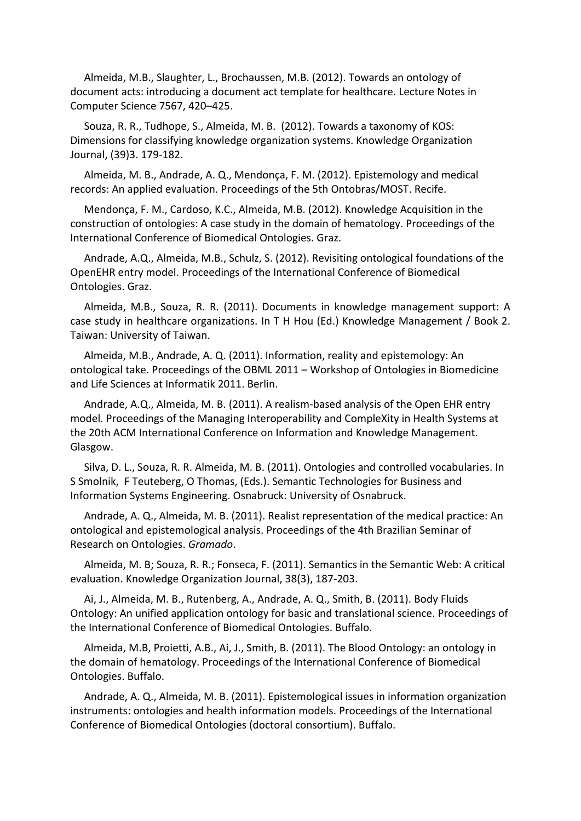Almeida, M.B., Slaughter, L., Brochaussen, M.B. (2012). Towards an ontology of document acts: introducing a document act template for healthcare. Lecture Notes in Computer Science 7567, 420–425.

Souza, R. R., Tudhope, S., Almeida, M. B. (2012). Towards a taxonomy of KOS: Dimensions for classifying knowledge organization systems. Knowledge Organization Journal, (39)3. 179-182.

Almeida, M. B., Andrade, A. Q., Mendonça, F. M. (2012). Epistemology and medical records: An applied evaluation. Proceedings of the 5th Ontobras/MOST. Recife.

Mendonça, F. M., Cardoso, K.C., Almeida, M.B. (2012). Knowledge Acquisition in the construction of ontologies: A case study in the domain of hematology. Proceedings of the International Conference of Biomedical Ontologies. Graz.

Andrade, A.Q., Almeida, M.B., Schulz, S. (2012). Revisiting ontological foundations of the OpenEHR entry model. Proceedings of the International Conference of Biomedical Ontologies. Graz.

Almeida, M.B., Souza, R. R. (2011). Documents in knowledge management support: A case study in healthcare organizations. In T H Hou (Ed.) Knowledge Management / Book 2. Taiwan: University of Taiwan.

Almeida, M.B., Andrade, A. Q. (2011). Information, reality and epistemology: An ontological take. Proceedings of the OBML 2011 – Workshop of Ontologies in Biomedicine and Life Sciences at Informatik 2011. Berlin.

Andrade, A.Q., Almeida, M. B. (2011). A realism-based analysis of the Open EHR entry model. Proceedings of the Managing Interoperability and CompleXity in Health Systems at the 20th ACM International Conference on Information and Knowledge Management. Glasgow.

Silva, D. L., Souza, R. R. Almeida, M. B. (2011). Ontologies and controlled vocabularies. In S Smolnik, F Teuteberg, O Thomas, (Eds.). Semantic Technologies for Business and Information Systems Engineering. Osnabruck: University of Osnabruck.

Andrade, A. Q., Almeida, M. B. (2011). Realist representation of the medical practice: An ontological and epistemological analysis. Proceedings of the 4th Brazilian Seminar of Research on Ontologies. *Gramado*.

Almeida, M. B; Souza, R. R.; Fonseca, F. (2011). Semantics in the Semantic Web: A critical evaluation. Knowledge Organization Journal, 38(3), 187-203.

Ai, J., Almeida, M. B., Rutenberg, A., Andrade, A. Q., Smith, B. (2011). Body Fluids Ontology: An unified application ontology for basic and translational science. Proceedings of the International Conference of Biomedical Ontologies. Buffalo.

Almeida, M.B, Proietti, A.B., Ai, J., Smith, B. (2011). The Blood Ontology: an ontology in the domain of hematology. Proceedings of the International Conference of Biomedical Ontologies. Buffalo.

Andrade, A. Q., Almeida, M. B. (2011). Epistemological issues in information organization instruments: ontologies and health information models. Proceedings of the International Conference of Biomedical Ontologies (doctoral consortium). Buffalo.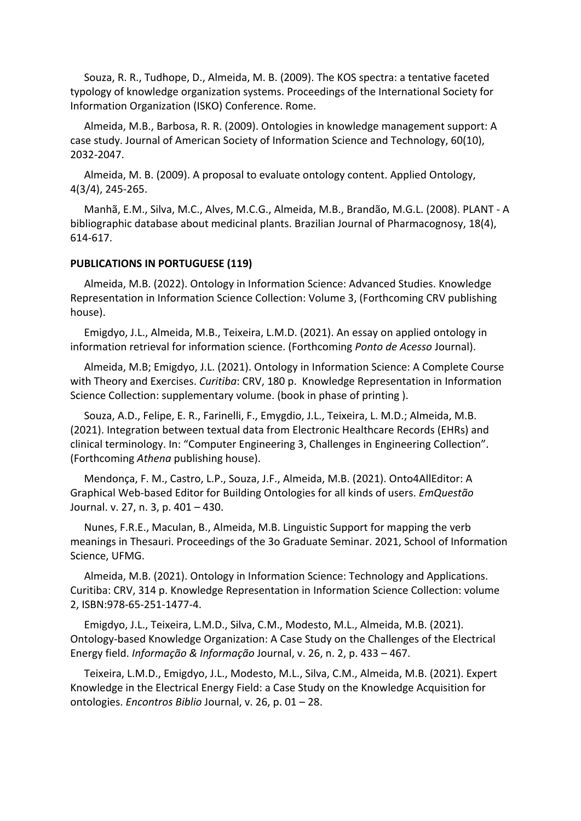Souza, R. R., Tudhope, D., Almeida, M. B. (2009). The KOS spectra: a tentative faceted typology of knowledge organization systems. Proceedings of the International Society for Information Organization (ISKO) Conference. Rome.

Almeida, M.B., Barbosa, R. R. (2009). Ontologies in knowledge management support: A case study. Journal of American Society of Information Science and Technology, 60(10), 2032-2047.

Almeida, M. B. (2009). A proposal to evaluate ontology content. Applied Ontology, 4(3/4), 245-265.

Manhã, E.M., Silva, M.C., Alves, M.C.G., Almeida, M.B., Brandão, M.G.L. (2008). PLANT - A bibliographic database about medicinal plants. Brazilian Journal of Pharmacognosy, 18(4), 614-617.

#### **PUBLICATIONS IN PORTUGUESE (119)**

Almeida, M.B. (2022). Ontology in Information Science: Advanced Studies. Knowledge Representation in Information Science Collection: Volume 3, (Forthcoming CRV publishing house).

Emigdyo, J.L., Almeida, M.B., Teixeira, L.M.D. (2021). An essay on applied ontology in information retrieval for information science. (Forthcoming *Ponto de Acesso* Journal).

Almeida, M.B; Emigdyo, J.L. (2021). Ontology in Information Science: A Complete Course with Theory and Exercises. *Curitiba*: CRV, 180 p. Knowledge Representation in Information Science Collection: supplementary volume. (book in phase of printing ).

Souza, A.D., Felipe, E. R., Farinelli, F., Emygdio, J.L., Teixeira, L. M.D.; Almeida, M.B. (2021). Integration between textual data from Electronic Healthcare Records (EHRs) and clinical terminology. In: "Computer Engineering 3, Challenges in Engineering Collection". (Forthcoming *Athena* publishing house).

Mendonça, F. M., Castro, L.P., Souza, J.F., Almeida, M.B. (2021). Onto4AllEditor: A Graphical Web-based Editor for Building Ontologies for all kinds of users. *EmQuestão* Journal. v. 27, n. 3, p. 401 – 430.

Nunes, F.R.E., Maculan, B., Almeida, M.B. Linguistic Support for mapping the verb meanings in Thesauri. Proceedings of the 3o Graduate Seminar. 2021, School of Information Science, UFMG.

Almeida, M.B. (2021). Ontology in Information Science: Technology and Applications. Curitiba: CRV, 314 p. Knowledge Representation in Information Science Collection: volume 2, ISBN:978-65-251-1477-4.

Emigdyo, J.L., Teixeira, L.M.D., Silva, C.M., Modesto, M.L., Almeida, M.B. (2021). Ontology-based Knowledge Organization: A Case Study on the Challenges of the Electrical Energy field. *Informação & Informação* Journal, v. 26, n. 2, p. 433 – 467.

Teixeira, L.M.D., Emigdyo, J.L., Modesto, M.L., Silva, C.M., Almeida, M.B. (2021). Expert Knowledge in the Electrical Energy Field: a Case Study on the Knowledge Acquisition for ontologies. *Encontros Biblio* Journal, v. 26, p. 01 – 28.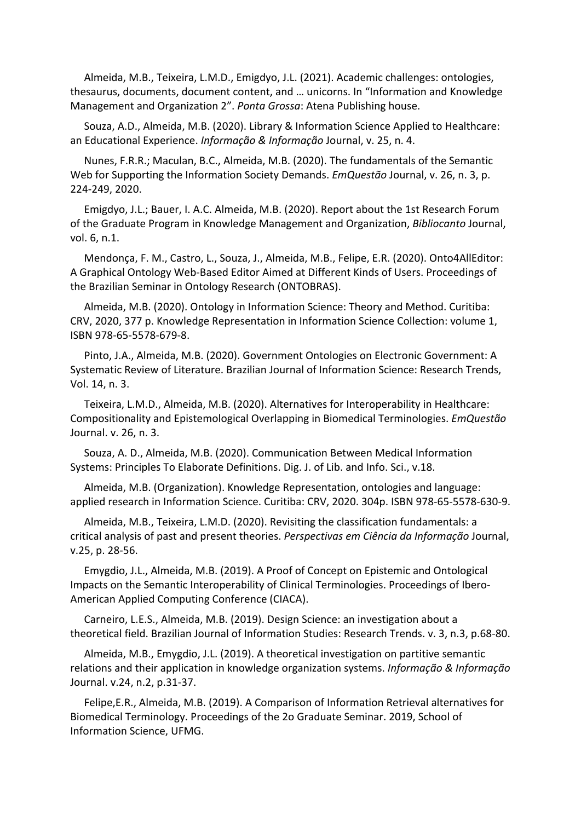Almeida, M.B., Teixeira, L.M.D., Emigdyo, J.L. (2021). Academic challenges: ontologies, thesaurus, documents, document content, and … unicorns. In "Information and Knowledge Management and Organization 2". *Ponta Grossa*: Atena Publishing house.

Souza, A.D., Almeida, M.B. (2020). Library & Information Science Applied to Healthcare: an Educational Experience. *Informação & Informação* Journal, v. 25, n. 4.

Nunes, F.R.R.; Maculan, B.C., Almeida, M.B. (2020). The fundamentals of the Semantic Web for Supporting the Information Society Demands. *EmQuestão* Journal, v. 26, n. 3, p. 224-249, 2020.

Emigdyo, J.L.; Bauer, I. A.C. Almeida, M.B. (2020). Report about the 1st Research Forum of the Graduate Program in Knowledge Management and Organization, *Bibliocanto* Journal, vol. 6, n.1.

Mendonça, F. M., Castro, L., Souza, J., Almeida, M.B., Felipe, E.R. (2020). Onto4AllEditor: A Graphical Ontology Web-Based Editor Aimed at Different Kinds of Users. Proceedings of the Brazilian Seminar in Ontology Research (ONTOBRAS).

Almeida, M.B. (2020). Ontology in Information Science: Theory and Method. Curitiba: CRV, 2020, 377 p. Knowledge Representation in Information Science Collection: volume 1, ISBN 978-65-5578-679-8.

Pinto, J.A., Almeida, M.B. (2020). Government Ontologies on Electronic Government: A Systematic Review of Literature. Brazilian Journal of Information Science: Research Trends, Vol. 14, n. 3.

Teixeira, L.M.D., Almeida, M.B. (2020). Alternatives for Interoperability in Healthcare: Compositionality and Epistemological Overlapping in Biomedical Terminologies. *EmQuestão* Journal. v. 26, n. 3.

Souza, A. D., Almeida, M.B. (2020). Communication Between Medical Information Systems: Principles To Elaborate Definitions. Dig. J. of Lib. and Info. Sci., v.18.

Almeida, M.B. (Organization). Knowledge Representation, ontologies and language: applied research in Information Science. Curitiba: CRV, 2020. 304p. ISBN 978-65-5578-630-9.

Almeida, M.B., Teixeira, L.M.D. (2020). Revisiting the classification fundamentals: a critical analysis of past and present theories. *Perspectivas em Ciência da Informação* Journal, v.25, p. 28-56.

Emygdio, J.L., Almeida, M.B. (2019). A Proof of Concept on Epistemic and Ontological Impacts on the Semantic Interoperability of Clinical Terminologies. Proceedings of Ibero-American Applied Computing Conference (CIACA).

Carneiro, L.E.S., Almeida, M.B. (2019). Design Science: an investigation about a theoretical field. Brazilian Journal of Information Studies: Research Trends. v. 3, n.3, p.68-80.

Almeida, M.B., Emygdio, J.L. (2019). A theoretical investigation on partitive semantic relations and their application in knowledge organization systems. *Informação & Informação* Journal. v.24, n.2, p.31-37.

Felipe,E.R., Almeida, M.B. (2019). A Comparison of Information Retrieval alternatives for Biomedical Terminology. Proceedings of the 2o Graduate Seminar. 2019, School of Information Science, UFMG.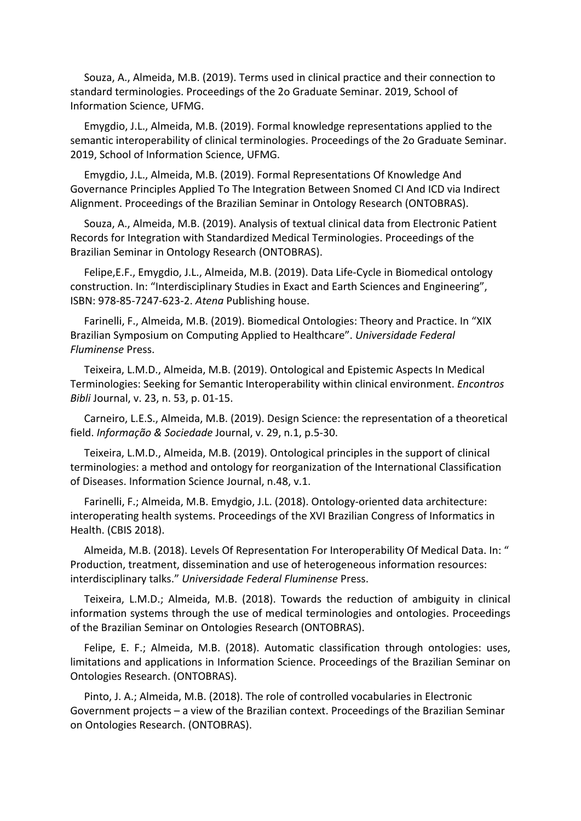Souza, A., Almeida, M.B. (2019). Terms used in clinical practice and their connection to standard terminologies. Proceedings of the 2o Graduate Seminar. 2019, School of Information Science, UFMG.

Emygdio, J.L., Almeida, M.B. (2019). Formal knowledge representations applied to the semantic interoperability of clinical terminologies. Proceedings of the 2o Graduate Seminar. 2019, School of Information Science, UFMG.

Emygdio, J.L., Almeida, M.B. (2019). Formal Representations Of Knowledge And Governance Principles Applied To The Integration Between Snomed CI And ICD via Indirect Alignment. Proceedings of the Brazilian Seminar in Ontology Research (ONTOBRAS).

Souza, A., Almeida, M.B. (2019). Analysis of textual clinical data from Electronic Patient Records for Integration with Standardized Medical Terminologies. Proceedings of the Brazilian Seminar in Ontology Research (ONTOBRAS).

Felipe,E.F., Emygdio, J.L., Almeida, M.B. (2019). Data Life-Cycle in Biomedical ontology construction. In: "Interdisciplinary Studies in Exact and Earth Sciences and Engineering", ISBN: 978-85-7247-623-2. *Atena* Publishing house.

Farinelli, F., Almeida, M.B. (2019). Biomedical Ontologies: Theory and Practice. In "XIX Brazilian Symposium on Computing Applied to Healthcare". *Universidade Federal Fluminense* Press.

Teixeira, L.M.D., Almeida, M.B. (2019). Ontological and Epistemic Aspects In Medical Terminologies: Seeking for Semantic Interoperability within clinical environment. *Encontros Bibli* Journal, v. 23, n. 53, p. 01-15.

Carneiro, L.E.S., Almeida, M.B. (2019). Design Science: the representation of a theoretical field. *Informação & Sociedade* Journal, v. 29, n.1, p.5-30.

Teixeira, L.M.D., Almeida, M.B. (2019). Ontological principles in the support of clinical terminologies: a method and ontology for reorganization of the International Classification of Diseases. Information Science Journal, n.48, v.1.

Farinelli, F.; Almeida, M.B. Emydgio, J.L. (2018). Ontology-oriented data architecture: interoperating health systems. Proceedings of the XVI Brazilian Congress of Informatics in Health. (CBIS 2018).

Almeida, M.B. (2018). Levels Of Representation For Interoperability Of Medical Data. In: " Production, treatment, dissemination and use of heterogeneous information resources: interdisciplinary talks." *Universidade Federal Fluminense* Press.

Teixeira, L.M.D.; Almeida, M.B. (2018). Towards the reduction of ambiguity in clinical information systems through the use of medical terminologies and ontologies. Proceedings of the Brazilian Seminar on Ontologies Research (ONTOBRAS).

Felipe, E. F.; Almeida, M.B. (2018). Automatic classification through ontologies: uses, limitations and applications in Information Science. Proceedings of the Brazilian Seminar on Ontologies Research. (ONTOBRAS).

Pinto, J. A.; Almeida, M.B. (2018). The role of controlled vocabularies in Electronic Government projects – a view of the Brazilian context. Proceedings of the Brazilian Seminar on Ontologies Research. (ONTOBRAS).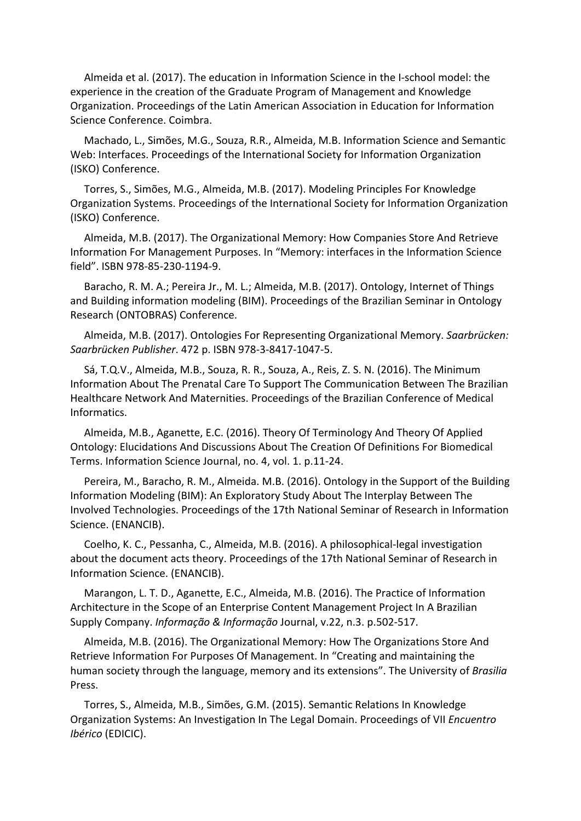Almeida et al. (2017). The education in Information Science in the I‐school model: the experience in the creation of the Graduate Program of Management and Knowledge Organization. Proceedings of the Latin American Association in Education for Information Science Conference. Coimbra.

Machado, L., Simões, M.G., Souza, R.R., Almeida, M.B. Information Science and Semantic Web: Interfaces. Proceedings of the International Society for Information Organization (ISKO) Conference.

Torres, S., Simões, M.G., Almeida, M.B. (2017). Modeling Principles For Knowledge Organization Systems. Proceedings of the International Society for Information Organization (ISKO) Conference.

Almeida, M.B. (2017). The Organizational Memory: How Companies Store And Retrieve Information For Management Purposes. In "Memory: interfaces in the Information Science field". ISBN 978‐85‐230‐1194‐9.

Baracho, R. M. A.; Pereira Jr., M. L.; Almeida, M.B. (2017). Ontology, Internet of Things and Building information modeling (BIM). Proceedings of the Brazilian Seminar in Ontology Research (ONTOBRAS) Conference.

Almeida, M.B. (2017). Ontologies For Representing Organizational Memory. *Saarbrücken: Saarbrücken Publisher*. 472 p. ISBN 978-3-8417-1047-5.

Sá, T.Q.V., Almeida, M.B., Souza, R. R., Souza, A., Reis, Z. S. N. (2016). The Minimum Information About The Prenatal Care To Support The Communication Between The Brazilian Healthcare Network And Maternities. Proceedings of the Brazilian Conference of Medical Informatics.

Almeida, M.B., Aganette, E.C. (2016). Theory Of Terminology And Theory Of Applied Ontology: Elucidations And Discussions About The Creation Of Definitions For Biomedical Terms. Information Science Journal, no. 4, vol. 1. p.11-24.

Pereira, M., Baracho, R. M., Almeida. M.B. (2016). Ontology in the Support of the Building Information Modeling (BIM): An Exploratory Study About The Interplay Between The Involved Technologies. Proceedings of the 17th National Seminar of Research in Information Science. (ENANCIB).

Coelho, K. C., Pessanha, C., Almeida, M.B. (2016). A philosophical-legal investigation about the document acts theory. Proceedings of the 17th National Seminar of Research in Information Science. (ENANCIB).

Marangon, L. T. D., Aganette, E.C., Almeida, M.B. (2016). The Practice of Information Architecture in the Scope of an Enterprise Content Management Project In A Brazilian Supply Company. *Informação & Informação* Journal, v.22, n.3. p.502-517.

Almeida, M.B. (2016). The Organizational Memory: How The Organizations Store And Retrieve Information For Purposes Of Management. In "Creating and maintaining the human society through the language, memory and its extensions". The University of *Brasilia* Press.

Torres, S., Almeida, M.B., Simões, G.M. (2015). Semantic Relations In Knowledge Organization Systems: An Investigation In The Legal Domain. Proceedings of VII *Encuentro Ibérico* (EDICIC).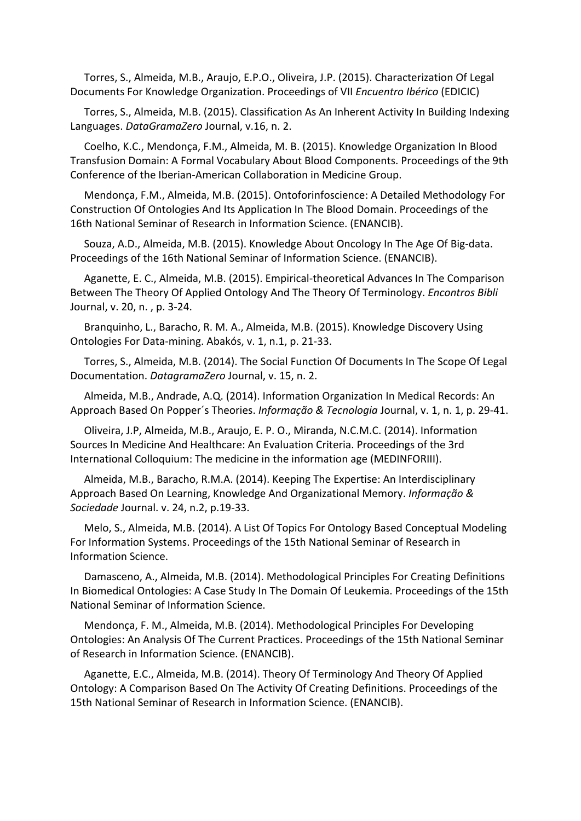Torres, S., Almeida, M.B., Araujo, E.P.O., Oliveira, J.P. (2015). Characterization Of Legal Documents For Knowledge Organization. Proceedings of VII *Encuentro Ibérico* (EDICIC)

Torres, S., Almeida, M.B. (2015). Classification As An Inherent Activity In Building Indexing Languages. *DataGramaZero* Journal, v.16, n. 2.

Coelho, K.C., Mendonça, F.M., Almeida, M. B. (2015). Knowledge Organization In Blood Transfusion Domain: A Formal Vocabulary About Blood Components. Proceedings of the 9th Conference of the Iberian-American Collaboration in Medicine Group.

Mendonça, F.M., Almeida, M.B. (2015). Ontoforinfoscience: A Detailed Methodology For Construction Of Ontologies And Its Application In The Blood Domain. Proceedings of the 16th National Seminar of Research in Information Science. (ENANCIB).

Souza, A.D., Almeida, M.B. (2015). Knowledge About Oncology In The Age Of Big-data. Proceedings of the 16th National Seminar of Information Science. (ENANCIB).

Aganette, E. C., Almeida, M.B. (2015). Empirical-theoretical Advances In The Comparison Between The Theory Of Applied Ontology And The Theory Of Terminology. *Encontros Bibli* Journal, v. 20, n. , p. 3-24.

Branquinho, L., Baracho, R. M. A., Almeida, M.B. (2015). Knowledge Discovery Using Ontologies For Data-mining. Abakós, v. 1, n.1, p. 21-33.

Torres, S., Almeida, M.B. (2014). The Social Function Of Documents In The Scope Of Legal Documentation. *DatagramaZero* Journal, v. 15, n. 2.

Almeida, M.B., Andrade, A.Q. (2014). Information Organization In Medical Records: An Approach Based On Popper´s Theories. *Informação & Tecnologia* Journal, v. 1, n. 1, p. 29-41.

Oliveira, J.P, Almeida, M.B., Araujo, E. P. O., Miranda, N.C.M.C. (2014). Information Sources In Medicine And Healthcare: An Evaluation Criteria. Proceedings of the 3rd International Colloquium: The medicine in the information age (MEDINFORIII).

Almeida, M.B., Baracho, R.M.A. (2014). Keeping The Expertise: An Interdisciplinary Approach Based On Learning, Knowledge And Organizational Memory. *Informação & Sociedade* Journal. v. 24, n.2, p.19-33.

Melo, S., Almeida, M.B. (2014). A List Of Topics For Ontology Based Conceptual Modeling For Information Systems. Proceedings of the 15th National Seminar of Research in Information Science.

Damasceno, A., Almeida, M.B. (2014). Methodological Principles For Creating Definitions In Biomedical Ontologies: A Case Study In The Domain Of Leukemia. Proceedings of the 15th National Seminar of Information Science.

Mendonça, F. M., Almeida, M.B. (2014). Methodological Principles For Developing Ontologies: An Analysis Of The Current Practices. Proceedings of the 15th National Seminar of Research in Information Science. (ENANCIB).

Aganette, E.C., Almeida, M.B. (2014). Theory Of Terminology And Theory Of Applied Ontology: A Comparison Based On The Activity Of Creating Definitions. Proceedings of the 15th National Seminar of Research in Information Science. (ENANCIB).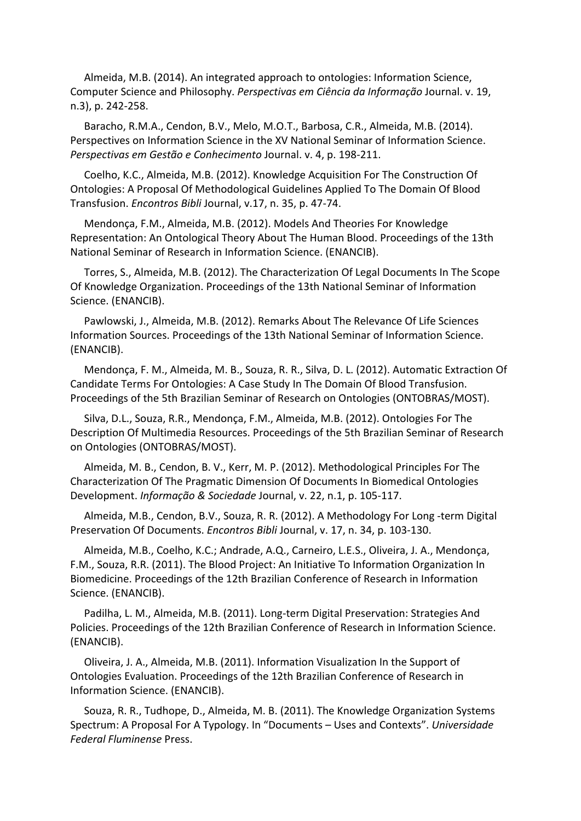Almeida, M.B. (2014). An integrated approach to ontologies: Information Science, Computer Science and Philosophy. *Perspectivas em Ciência da Informação* Journal. v. 19, n.3), p. 242-258.

Baracho, R.M.A., Cendon, B.V., Melo, M.O.T., Barbosa, C.R., Almeida, M.B. (2014). Perspectives on Information Science in the XV National Seminar of Information Science. *Perspectivas em Gestão e Conhecimento* Journal. v. 4, p. 198-211.

Coelho, K.C., Almeida, M.B. (2012). Knowledge Acquisition For The Construction Of Ontologies: A Proposal Of Methodological Guidelines Applied To The Domain Of Blood Transfusion. *Encontros Bibli* Journal, v.17, n. 35, p. 47-74.

Mendonça, F.M., Almeida, M.B. (2012). Models And Theories For Knowledge Representation: An Ontological Theory About The Human Blood. Proceedings of the 13th National Seminar of Research in Information Science. (ENANCIB).

Torres, S., Almeida, M.B. (2012). The Characterization Of Legal Documents In The Scope Of Knowledge Organization. Proceedings of the 13th National Seminar of Information Science. (ENANCIB).

Pawlowski, J., Almeida, M.B. (2012). Remarks About The Relevance Of Life Sciences Information Sources. Proceedings of the 13th National Seminar of Information Science. (ENANCIB).

Mendonça, F. M., Almeida, M. B., Souza, R. R., Silva, D. L. (2012). Automatic Extraction Of Candidate Terms For Ontologies: A Case Study In The Domain Of Blood Transfusion. Proceedings of the 5th Brazilian Seminar of Research on Ontologies (ONTOBRAS/MOST).

Silva, D.L., Souza, R.R., Mendonça, F.M., Almeida, M.B. (2012). Ontologies For The Description Of Multimedia Resources. Proceedings of the 5th Brazilian Seminar of Research on Ontologies (ONTOBRAS/MOST).

Almeida, M. B., Cendon, B. V., Kerr, M. P. (2012). Methodological Principles For The Characterization Of The Pragmatic Dimension Of Documents In Biomedical Ontologies Development. *Informação & Sociedade* Journal, v. 22, n.1, p. 105-117.

Almeida, M.B., Cendon, B.V., Souza, R. R. (2012). A Methodology For Long -term Digital Preservation Of Documents. *Encontros Bibli* Journal, v. 17, n. 34, p. 103-130.

Almeida, M.B., Coelho, K.C.; Andrade, A.Q., Carneiro, L.E.S., Oliveira, J. A., Mendonça, F.M., Souza, R.R. (2011). The Blood Project: An Initiative To Information Organization In Biomedicine. Proceedings of the 12th Brazilian Conference of Research in Information Science. (ENANCIB).

Padilha, L. M., Almeida, M.B. (2011). Long-term Digital Preservation: Strategies And Policies. Proceedings of the 12th Brazilian Conference of Research in Information Science. (ENANCIB).

Oliveira, J. A., Almeida, M.B. (2011). Information Visualization In the Support of Ontologies Evaluation. Proceedings of the 12th Brazilian Conference of Research in Information Science. (ENANCIB).

Souza, R. R., Tudhope, D., Almeida, M. B. (2011). The Knowledge Organization Systems Spectrum: A Proposal For A Typology. In "Documents – Uses and Contexts". *Universidade Federal Fluminense* Press.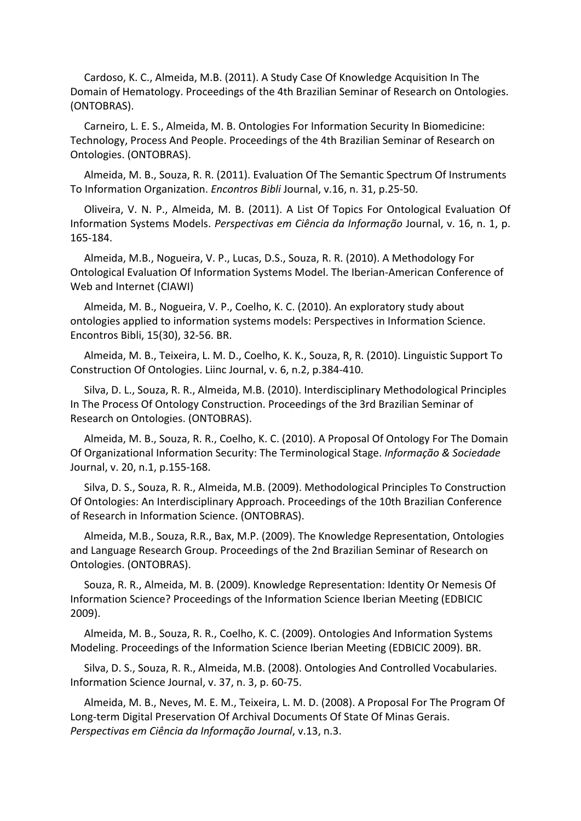Cardoso, K. C., Almeida, M.B. (2011). A Study Case Of Knowledge Acquisition In The Domain of Hematology. Proceedings of the 4th Brazilian Seminar of Research on Ontologies. (ONTOBRAS).

Carneiro, L. E. S., Almeida, M. B. Ontologies For Information Security In Biomedicine: Technology, Process And People. Proceedings of the 4th Brazilian Seminar of Research on Ontologies. (ONTOBRAS).

Almeida, M. B., Souza, R. R. (2011). Evaluation Of The Semantic Spectrum Of Instruments To Information Organization. *Encontros Bibli* Journal, v.16, n. 31, p.25-50.

Oliveira, V. N. P., Almeida, M. B. (2011). A List Of Topics For Ontological Evaluation Of Information Systems Models. *Perspectivas em Ciência da Informação* Journal, v. 16, n. 1, p. 165-184.

Almeida, M.B., Nogueira, V. P., Lucas, D.S., Souza, R. R. (2010). A Methodology For Ontological Evaluation Of Information Systems Model. The Iberian-American Conference of Web and Internet (CIAWI)

Almeida, M. B., Nogueira, V. P., Coelho, K. C. (2010). An exploratory study about ontologies applied to information systems models: Perspectives in Information Science. Encontros Bibli, 15(30), 32-56. BR.

Almeida, M. B., Teixeira, L. M. D., Coelho, K. K., Souza, R, R. (2010). Linguistic Support To Construction Of Ontologies. Liinc Journal, v. 6, n.2, p.384-410.

Silva, D. L., Souza, R. R., Almeida, M.B. (2010). Interdisciplinary Methodological Principles In The Process Of Ontology Construction. Proceedings of the 3rd Brazilian Seminar of Research on Ontologies. (ONTOBRAS).

Almeida, M. B., Souza, R. R., Coelho, K. C. (2010). A Proposal Of Ontology For The Domain Of Organizational Information Security: The Terminological Stage. *Informação & Sociedade* Journal, v. 20, n.1, p.155-168.

Silva, D. S., Souza, R. R., Almeida, M.B. (2009). Methodological Principles To Construction Of Ontologies: An Interdisciplinary Approach. Proceedings of the 10th Brazilian Conference of Research in Information Science. (ONTOBRAS).

Almeida, M.B., Souza, R.R., Bax, M.P. (2009). The Knowledge Representation, Ontologies and Language Research Group. Proceedings of the 2nd Brazilian Seminar of Research on Ontologies. (ONTOBRAS).

Souza, R. R., Almeida, M. B. (2009). Knowledge Representation: Identity Or Nemesis Of Information Science? Proceedings of the Information Science Iberian Meeting (EDBICIC 2009).

Almeida, M. B., Souza, R. R., Coelho, K. C. (2009). Ontologies And Information Systems Modeling. Proceedings of the Information Science Iberian Meeting (EDBICIC 2009). BR.

Silva, D. S., Souza, R. R., Almeida, M.B. (2008). Ontologies And Controlled Vocabularies. Information Science Journal, v. 37, n. 3, p. 60-75.

Almeida, M. B., Neves, M. E. M., Teixeira, L. M. D. (2008). A Proposal For The Program Of Long-term Digital Preservation Of Archival Documents Of State Of Minas Gerais. *Perspectivas em Ciência da Informação Journal*, v.13, n.3.